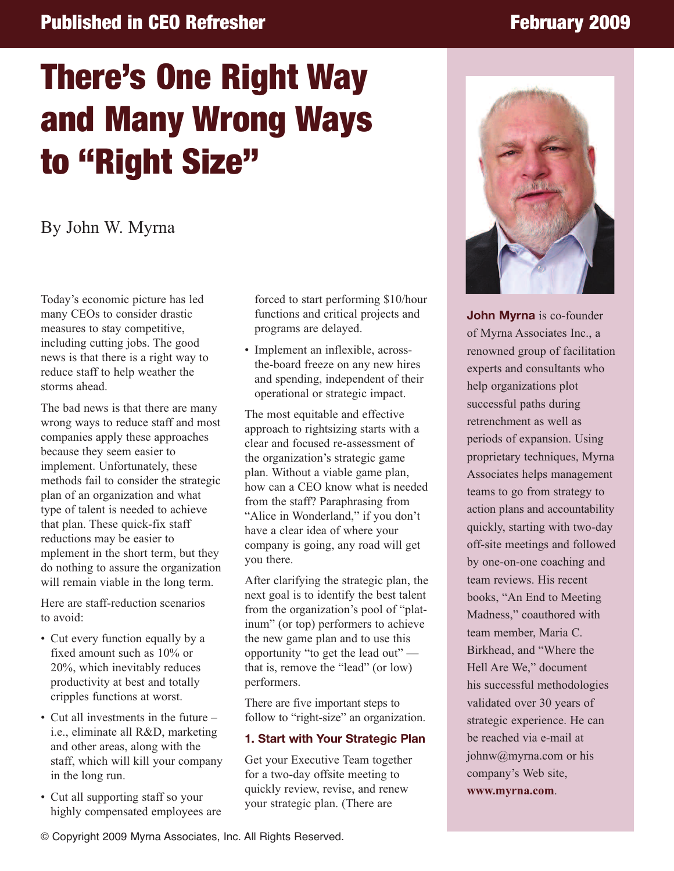# **Published in CEO Refresher February 2009**

# **There's One Right Way and Many Wrong Ways to "Right Size"**

## By John W. Myrna

Today's economic picture has led many CEOs to consider drastic measures to stay competitive, including cutting jobs. The good news is that there is a right way to reduce staff to help weather the storms ahead.

The bad news is that there are many wrong ways to reduce staff and most companies apply these approaches because they seem easier to implement. Unfortunately, these methods fail to consider the strategic plan of an organization and what type of talent is needed to achieve that plan. These quick-fix staff reductions may be easier to mplement in the short term, but they do nothing to assure the organization will remain viable in the long term.

Here are staff-reduction scenarios to avoid:

- Cut every function equally by a fixed amount such as 10% or 20%, which inevitably reduces productivity at best and totally cripples functions at worst.
- Cut all investments in the future i.e., eliminate all R&D, marketing and other areas, along with the staff, which will kill your company in the long run.
- Cut all supporting staff so your highly compensated employees are

forced to start performing \$10/hour functions and critical projects and programs are delayed.

• Implement an inflexible, acrossthe-board freeze on any new hires and spending, independent of their operational or strategic impact.

The most equitable and effective approach to rightsizing starts with a clear and focused re-assessment of the organization's strategic game plan. Without a viable game plan, how can a CEO know what is needed from the staff? Paraphrasing from "Alice in Wonderland," if you don't have a clear idea of where your company is going, any road will get you there.

After clarifying the strategic plan, the next goal is to identify the best talent from the organization's pool of "platinum" (or top) performers to achieve the new game plan and to use this opportunity "to get the lead out" that is, remove the "lead" (or low) performers.

There are five important steps to follow to "right-size" an organization.

#### **1. Start with Your Strategic Plan**

Get your Executive Team together for a two-day offsite meeting to quickly review, revise, and renew your strategic plan. (There are



**John Myrna** is co-founder of Myrna Associates Inc., a renowned group of facilitation experts and consultants who help organizations plot successful paths during retrenchment as well as periods of expansion. Using proprietary techniques, Myrna Associates helps management teams to go from strategy to action plans and accountability quickly, starting with two-day off-site meetings and followed by one-on-one coaching and team reviews. His recent books, "An End to Meeting Madness," coauthored with team member, Maria C. Birkhead, and "Where the Hell Are We," document his successful methodologies validated over 30 years of strategic experience. He can be reached via e-mail at johnw@myrna.com or his company's Web site, **www.myrna.com**.